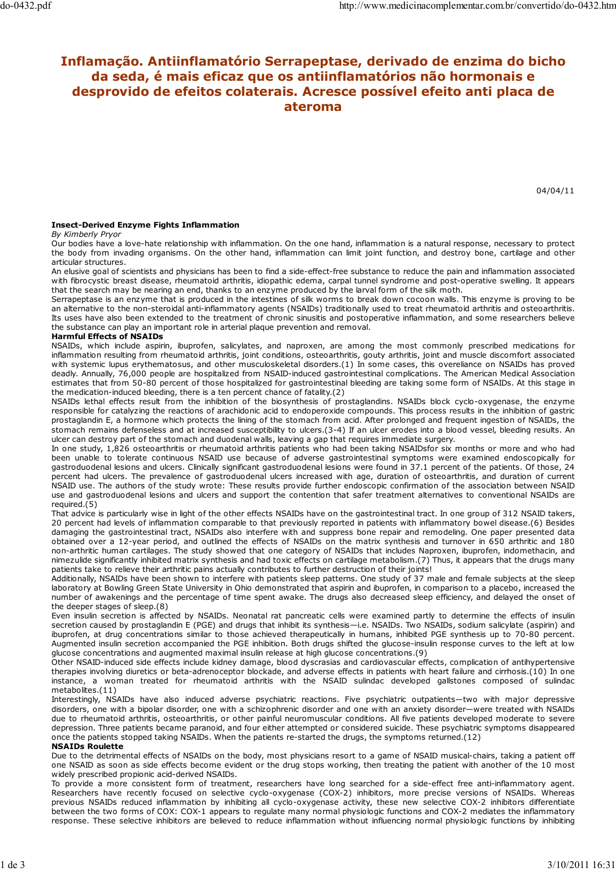# Inflamação. Antiinflamatório Serrapeptase, derivado de enzima do bicho da seda, é mais eficaz que os antiinflamatórios não hormonais e desprovido de efeitos colaterais. Acresce possível efeito anti placa de ateroma

04/04/11

## Insect-Derived Enzyme Fights Inflammation

#### By Kimberly Pryor

Our bodies have a love-hate relationship with inflammation. On the one hand, inflammation is a natural response, necessary to protect the body from invading organisms. On the other hand, inflammation can limit joint function, and destroy bone, cartilage and other articular structures.

An elusive goal of scientists and physicians has been to find a side-effect-free substance to reduce the pain and inflammation associated with fibrocystic breast disease, rheumatoid arthritis, idiopathic edema, carpal tunnel syndrome and post-operative swelling. It appears that the search may be nearing an end, thanks to an enzyme produced by the larval form of the silk moth.

Serrapeptase is an enzyme that is produced in the intestines of silk worms to break down cocoon walls. This enzyme is proving to be an alternative to the non-steroidal anti-inflammatory agents (NSAIDs) traditionally used to treat rheumatoid arthritis and osteoarthritis. Its uses have also been extended to the treatment of chronic sinusitis and postoperative inflammation, and some researchers believe the substance can play an important role in arterial plaque prevention and removal.

## Harmful Effects of NSAIDs

NSAIDs, which include aspirin, ibuprofen, salicylates, and naproxen, are among the most commonly prescribed medications for inflammation resulting from rheumatoid arthritis, joint conditions, osteoarthritis, gouty arthritis, joint and muscle discomfort associated with systemic lupus erythematosus, and other musculoskeletal disorders.(1) In some cases, this overeliance on NSAIDs has proved deadly. Annually, 76,000 people are hospitalized from NSAID-induced gastrointestinal complications. The American Medical Association estimates that from 50-80 percent of those hospitalized for gastrointestinal bleeding are taking some form of NSAIDs. At this stage in the medication-induced bleeding, there is a ten percent chance of fatality.(2)

NSAIDs lethal effects result from the inhibition of the biosynthesis of prostaglandins. NSAIDs block cyclo-oxygenase, the enzyme responsible for catalyzing the reactions of arachidonic acid to endoperoxide compounds. This process results in the inhibition of gastric prostaglandin E, a hormone which protects the lining of the stomach from acid. After prolonged and frequent ingestion of NSAIDs, the stomach remains defenseless and at increased susceptibility to ulcers.(3-4) If an ulcer erodes into a blood vessel, bleeding results. An ulcer can destroy part of the stomach and duodenal walls, leaving a gap that requires immediate surgery.

In one study, 1,826 osteoarthritis or rheumatoid arthritis patients who had been taking NSAIDsfor six months or more and who had been unable to tolerate continuous NSAID use because of adverse gastrointestinal symptoms were examined endoscopically for gastroduodenal lesions and ulcers. Clinically significant gastroduodenal lesions were found in 37.1 percent of the patients. Of those, 24 percent had ulcers. The prevalence of gastroduodenal ulcers increased with age, duration of osteoarthritis, and duration of current NSAID use. The authors of the study wrote: These results provide further endoscopic confirmation of the association between NSAID use and gastroduodenal lesions and ulcers and support the contention that safer treatment alternatives to conventional NSAIDs are required.(5)

That advice is particularly wise in light of the other effects NSAIDs have on the gastrointestinal tract. In one group of 312 NSAID takers, 20 percent had levels of inflammation comparable to that previously reported in patients with inflammatory bowel disease.(6) Besides damaging the gastrointestinal tract, NSAIDs also interfere with and suppress bone repair and remodeling. One paper presented data obtained over a 12-year period, and outlined the effects of NSAIDs on the matrix synthesis and turnover in 650 arthritic and 180 non-arthritic human cartilages. The study showed that one category of NSAIDs that includes Naproxen, ibuprofen, indomethacin, and nimezulide significantly inhibited matrix synthesis and had toxic effects on cartilage metabolism.(7) Thus, it appears that the drugs many patients take to relieve their arthritic pains actually contributes to further destruction of their joints!

Additionally, NSAIDs have been shown to interfere with patients sleep patterns. One study of 37 male and female subjects at the sleep laboratory at Bowling Green State University in Ohio demonstrated that aspirin and ibuprofen, in comparison to a placebo, increased the number of awakenings and the percentage of time spent awake. The drugs also decreased sleep efficiency, and delayed the onset of the deeper stages of sleep.(8)

Even insulin secretion is affected by NSAIDs. Neonatal rat pancreatic cells were examined partly to determine the effects of insulin secretion caused by prostaglandin E (PGE) and drugs that inhibit its synthesis—i.e. NSAIDs. Two NSAIDs, sodium salicylate (aspirin) and ibuprofen, at drug concentrations similar to those achieved therapeutically in humans, inhibited PGE synthesis up to 70-80 percent. Augmented insulin secretion accompanied the PGE inhibition. Both drugs shifted the glucose-insulin response curves to the left at low glucose concentrations and augmented maximal insulin release at high glucose concentrations.(9)

Other NSAID-induced side effects include kidney damage, blood dyscrasias and cardiovascular effects, complication of antihypertensive therapies involving diuretics or beta-adrenoceptor blockade, and adverse effects in patients with heart failure and cirrhosis.(10) In one instance, a woman treated for rheumatoid arthritis with the NSAID sulindac developed gallstones composed of sulindac metabolites.(11)

Interestingly, NSAIDs have also induced adverse psychiatric reactions. Five psychiatric outpatients—two with major depressive disorders, one with a bipolar disorder, one with a schizophrenic disorder and one with an anxiety disorder—were treated with NSAIDs due to rheumatoid arthritis, osteoarthritis, or other painful neuromuscular conditions. All five patients developed moderate to severe depression. Three patients became paranoid, and four either attempted or considered suicide. These psychiatric symptoms disappeared once the patients stopped taking NSAIDs. When the patients re-started the drugs, the symptoms returned.(12)

## NSAIDs Roulette

Due to the detrimental effects of NSAIDs on the body, most physicians resort to a game of NSAID musical-chairs, taking a patient off one NSAID as soon as side effects become evident or the drug stops working, then treating the patient with another of the 10 most widely prescribed propionic acid-derived NSAIDs.

To provide a more consistent form of treatment, researchers have long searched for a side-effect free anti-inflammatory agent. Researchers have recently focused on selective cyclo-oxygenase (COX-2) inhibitors, more precise versions of NSAIDs. Whereas previous NSAIDs reduced inflammation by inhibiting all cyclo-oxygenase activity, these new selective COX-2 inhibitors differentiate between the two forms of COX: COX-1 appears to regulate many normal physiologic functions and COX-2 mediates the inflammatory response. These selective inhibitors are believed to reduce inflammation without influencing normal physiologic functions by inhibiting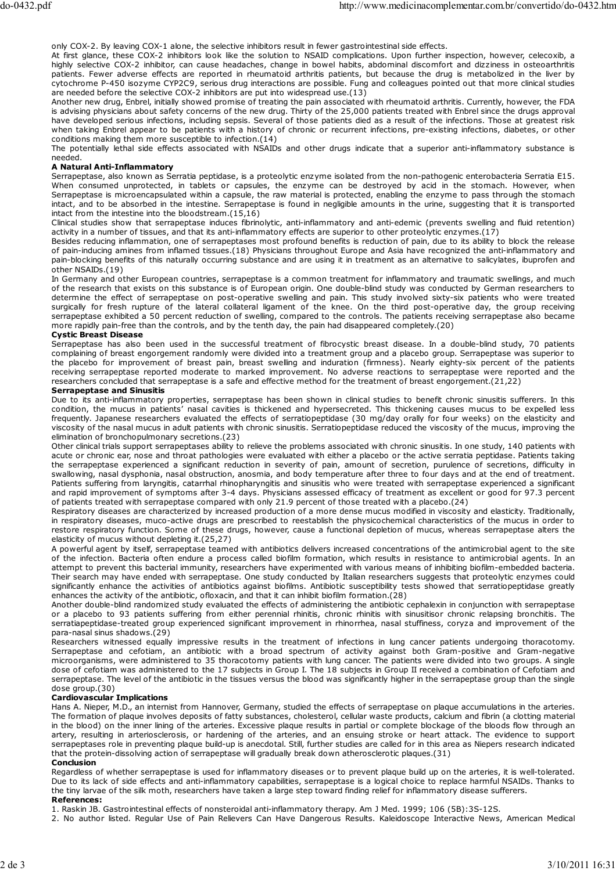only COX-2. By leaving COX-1 alone, the selective inhibitors result in fewer gastrointestinal side effects.

At first glance, these COX-2 inhibitors look like the solution to NSAID complications. Upon further inspection, however, celecoxib, a highly selective COX-2 inhibitor, can cause headaches, change in bowel habits, abdominal discomfort and dizziness in osteoarthritis patients. Fewer adverse effects are reported in rheumatoid arthritis patients, but because the drug is metabolized in the liver by cytochrome P-450 isozyme CYP2C9, serious drug interactions are possible. Fung and colleagues pointed out that more clinical studies are needed before the selective COX-2 inhibitors are put into widespread use.(13)

Another new drug, Enbrel, initially showed promise of treating the pain associated with rheumatoid arthritis. Currently, however, the FDA is advising physicians about safety concerns of the new drug. Thirty of the 25,000 patients treated with Enbrel since the drugs approval have developed serious infections, including sepsis. Several of those patients died as a result of the infections. Those at greatest risk when taking Enbrel appear to be patients with a history of chronic or recurrent infections, pre-existing infections, diabetes, or other conditions making them more susceptible to infection.(14)

The potentially lethal side effects associated with NSAIDs and other drugs indicate that a superior anti-inflammatory substance is needed.

## A Natural Anti-Inflammatory

Serrapeptase, also known as Serratia peptidase, is a proteolytic enzyme isolated from the non-pathogenic enterobacteria Serratia E15. When consumed unprotected, in tablets or capsules, the enzyme can be destroyed by acid in the stomach. However, when Serrapeptase is microencapsulated within a capsule, the raw material is protected, enabling the enzyme to pass through the stomach intact, and to be absorbed in the intestine. Serrapeptase is found in negligible amounts in the urine, suggesting that it is transported intact from the intestine into the bloodstream.(15,16)

Clinical studies show that serrapeptase induces fibrinolytic, anti-inflammatory and anti-edemic (prevents swelling and fluid retention) activity in a number of tissues, and that its anti-inflammatory effects are superior to other proteolytic enzymes.(17)

Besides reducing inflammation, one of serrapeptases most profound benefits is reduction of pain, due to its ability to block the release of pain-inducing amines from inflamed tissues.(18) Physicians throughout Europe and Asia have recognized the anti-inflammatory and pain-blocking benefits of this naturally occurring substance and are using it in treatment as an alternative to salicylates, ibuprofen and other NSAIDs.(19)

In Germany and other European countries, serrapeptase is a common treatment for inflammatory and traumatic swellings, and much of the research that exists on this substance is of European origin. One double-blind study was conducted by German researchers to determine the effect of serrapeptase on post-operative swelling and pain. This study involved sixty-six patients who were treated surgically for fresh rupture of the lateral collateral ligament of the knee. On the third post-operative day, the group receiving serrapeptase exhibited a 50 percent reduction of swelling, compared to the controls. The patients receiving serrapeptase also became more rapidly pain-free than the controls, and by the tenth day, the pain had disappeared completely.(20)

## Cystic Breast Disease

Serrapeptase has also been used in the successful treatment of fibrocystic breast disease. In a double-blind study, 70 patients complaining of breast engorgement randomly were divided into a treatment group and a placebo group. Serrapeptase was superior to the placebo for improvement of breast pain, breast swelling and induration (firmness). Nearly eighty-six percent of the patients receiving serrapeptase reported moderate to marked improvement. No adverse reactions to serrapeptase were reported and the researchers concluded that serrapeptase is a safe and effective method for the treatment of breast engorgement.(21,22)

## Serrapeptase and Sinusitis

Due to its anti-inflammatory properties, serrapeptase has been shown in clinical studies to benefit chronic sinusitis sufferers. In this condition, the mucus in patients' nasal cavities is thickened and hypersecreted. This thickening causes mucus to be expelled less frequently. Japanese researchers evaluated the effects of serratiopeptidase (30 mg/day orally for four weeks) on the elasticity and viscosity of the nasal mucus in adult patients with chronic sinusitis. Serratiopeptidase reduced the viscosity of the mucus, improving the elimination of bronchopulmonary secretions.(23)

Other clinical trials support serrapeptases ability to relieve the problems associated with chronic sinusitis. In one study, 140 patients with acute or chronic ear, nose and throat pathologies were evaluated with either a placebo or the active serratia peptidase. Patients taking the serrapeptase experienced a significant reduction in severity of pain, amount of secretion, purulence of secretions, difficulty in swallowing, nasal dysphonia, nasal obstruction, anosmia, and body temperature after three to four days and at the end of treatment. Patients suffering from laryngitis, catarrhal rhinopharyngitis and sinusitis who were treated with serrapeptase experienced a significant and rapid improvement of symptoms after 3-4 days. Physicians assessed efficacy of treatment as excellent or good for 97.3 percent of patients treated with serrapeptase compared with only 21.9 percent of those treated with a placebo.(24)

Respiratory diseases are characterized by increased production of a more dense mucus modified in viscosity and elasticity. Traditionally, in respiratory diseases, muco-active drugs are prescribed to reestablish the physicochemical characteristics of the mucus in order to restore respiratory function. Some of these drugs, however, cause a functional depletion of mucus, whereas serrapeptase alters the elasticity of mucus without depleting it.(25,27)

A powerful agent by itself, serrapeptase teamed with antibiotics delivers increased concentrations of the antimicrobial agent to the site of the infection. Bacteria often endure a process called biofilm formation, which results in resistance to antimicrobial agents. In an attempt to prevent this bacterial immunity, researchers have experimented with various means of inhibiting biofilm-embedded bacteria. Their search may have ended with serrapeptase. One study conducted by Italian researchers suggests that proteolytic enzymes could significantly enhance the activities of antibiotics against biofilms. Antibiotic susceptibility tests showed that serratiopeptidase greatly enhances the activity of the antibiotic, ofloxacin, and that it can inhibit biofilm formation.(28)

Another double-blind randomized study evaluated the effects of administering the antibiotic cephalexin in conjunction with serrapeptase or a placebo to 93 patients suffering from either perennial rhinitis, chronic rhinitis with sinusitisor chronic relapsing bronchitis. The serratiapeptidase-treated group experienced significant improvement in rhinorrhea, nasal stuffiness, coryza and improvement of the para-nasal sinus shadows.(29)

Researchers witnessed equally impressive results in the treatment of infections in lung cancer patients undergoing thoracotomy. Serrapeptase and cefotiam, an antibiotic with a broad spectrum of activity against both Gram-positive and Gram-negative microorganisms, were administered to 35 thoracotomy patients with lung cancer. The patients were divided into two groups. A single dose of cefotiam was administered to the 17 subjects in Group I. The 18 subjects in Group II received a combination of Cefotiam and serrapeptase. The level of the antibiotic in the tissues versus the blood was significantly higher in the serrapeptase group than the single dose group.(30)

#### Cardiovascular Implications

Hans A. Nieper, M.D., an internist from Hannover, Germany, studied the effects of serrapeptase on plaque accumulations in the arteries. The formation of plaque involves deposits of fatty substances, cholesterol, cellular waste products, calcium and fibrin (a clotting material in the blood) on the inner lining of the arteries. Excessive plaque results in partial or complete blockage of the bloods flow through an artery, resulting in arteriosclerosis, or hardening of the arteries, and an ensuing stroke or heart attack. The evidence to support serrapeptases role in preventing plaque build-up is anecdotal. Still, further studies are called for in this area as Niepers research indicated that the protein-dissolving action of serrapeptase will gradually break down atherosclerotic plaques.(31)

Conclusion

Regardless of whether serrapeptase is used for inflammatory diseases or to prevent plaque build up on the arteries, it is well-tolerated. Due to its lack of side effects and anti-inflammatory capabilities, serrapeptase is a logical choice to replace harmful NSAIDs. Thanks to the tiny larvae of the silk moth, researchers have taken a large step toward finding relief for inflammatory disease sufferers.

## References:

1. Raskin JB. Gastrointestinal effects of nonsteroidal anti-inflammatory therapy. Am J Med. 1999; 106 (5B):3S-12S.

2. No author listed. Regular Use of Pain Relievers Can Have Dangerous Results. Kaleidoscope Interactive News, American Medical